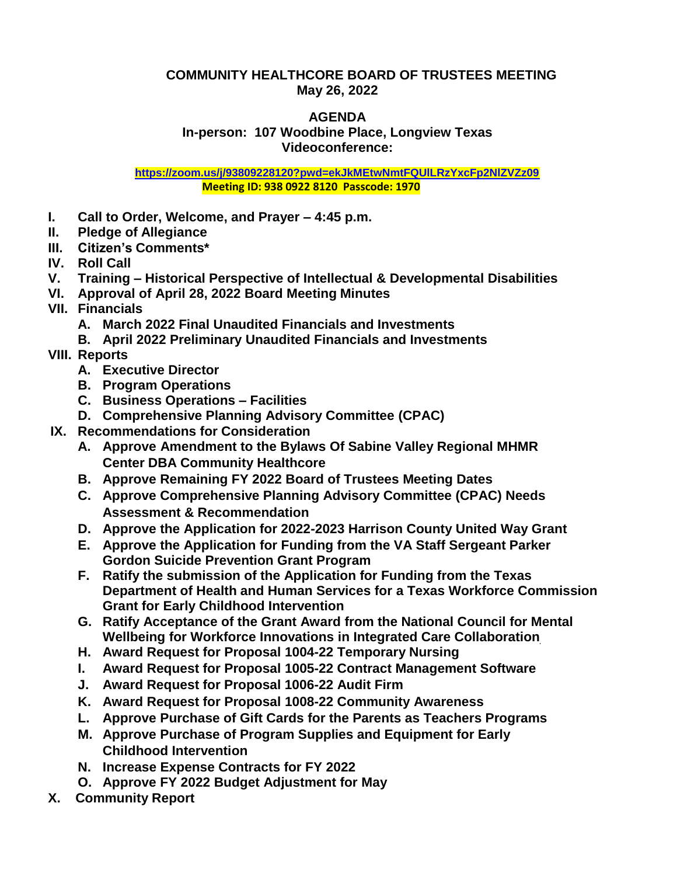## **COMMUNITY HEALTHCORE BOARD OF TRUSTEES MEETING May 26, 2022**

## **AGENDA In-person: 107 Woodbine Place, Longview Texas Videoconference:**

**<https://zoom.us/j/93809228120?pwd=ekJkMEtwNmtFQUlLRzYxcFp2NlZVZz09> Meeting ID: 938 0922 8120 Passcode: 1970**

- **I. Call to Order, Welcome, and Prayer – 4:45 p.m.**
- **II. Pledge of Allegiance**
- **III. Citizen's Comments\***
- **IV. Roll Call**
- **V. Training – Historical Perspective of Intellectual & Developmental Disabilities**
- **VI. Approval of April 28, 2022 Board Meeting Minutes**
- **VII. Financials**
	- **A. March 2022 Final Unaudited Financials and Investments**
	- **B. April 2022 Preliminary Unaudited Financials and Investments**
- **VIII. Reports**
	- **A. Executive Director**
	- **B. Program Operations**
	- **C. Business Operations – Facilities**
	- **D. Comprehensive Planning Advisory Committee (CPAC)**
- **IX. Recommendations for Consideration**
	- **A. Approve Amendment to the Bylaws Of Sabine Valley Regional MHMR Center DBA Community Healthcore**
	- **B. Approve Remaining FY 2022 Board of Trustees Meeting Dates**
	- **C. Approve Comprehensive Planning Advisory Committee (CPAC) Needs Assessment & Recommendation**
	- **D. Approve the Application for 2022-2023 Harrison County United Way Grant**
	- **E. Approve the Application for Funding from the VA Staff Sergeant Parker Gordon Suicide Prevention Grant Program**
	- **F. Ratify the submission of the Application for Funding from the Texas Department of Health and Human Services for a Texas Workforce Commission Grant for Early Childhood Intervention**
	- **G. Ratify Acceptance of the Grant Award from the National Council for Mental Wellbeing for Workforce Innovations in Integrated Care Collaboration**
	- **H. Award Request for Proposal 1004-22 Temporary Nursing**
	- **I. Award Request for Proposal 1005-22 Contract Management Software**
	- **J. Award Request for Proposal 1006-22 Audit Firm**
	- **K. Award Request for Proposal 1008-22 Community Awareness**
	- **L. Approve Purchase of Gift Cards for the Parents as Teachers Programs**
	- **M. Approve Purchase of Program Supplies and Equipment for Early Childhood Intervention**
	- **N. Increase Expense Contracts for FY 2022**
	- **O. Approve FY 2022 Budget Adjustment for May**
- **X. Community Report**